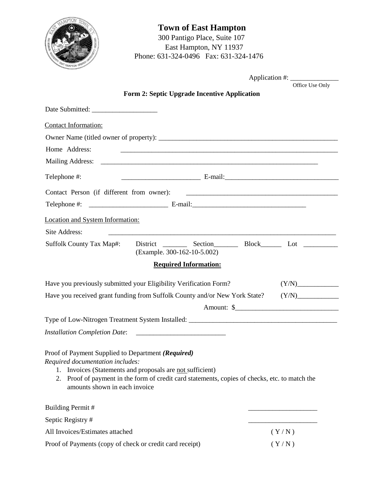| <b>HAMPTON TOWN</b><br>· MONT |
|-------------------------------|
| <b>RESERVE</b>                |

## **Town of East Hampton**  300 Pantigo Place, Suite 107 East Hampton, NY 11937 Phone: 631-324-0496 Fax: 631-324-1476



Office Use Only

Application #:

|  |  | Form 2: Septic Upgrade Incentive Application |
|--|--|----------------------------------------------|

| <b>Contact Information:</b>                   |                                      |                        |                                                                                   |         |
|-----------------------------------------------|--------------------------------------|------------------------|-----------------------------------------------------------------------------------|---------|
|                                               |                                      |                        |                                                                                   |         |
| Telephone #:                                  |                                      |                        |                                                                                   |         |
| <b>Site Location Information:</b>             |                                      |                        |                                                                                   |         |
| <b>Site Address:</b>                          |                                      |                        |                                                                                   |         |
| <b>Suffolk County Tax Map#:</b>               | <b>District</b>                      |                        | Section Block Lot Lot                                                             |         |
|                                               |                                      |                        | (Example. 300-162-10-5.002)                                                       |         |
|                                               |                                      | Re uired Informa tion: |                                                                                   |         |
|                                               |                                      |                        | Have you previously submitted your Eligibility Verification Form? (Y/N) _________ |         |
|                                               |                                      |                        | Have you received grant funding from Suffolk County and/or New York State? (Y/N)  |         |
|                                               |                                      |                        | Amount: \$                                                                        |         |
|                                               | <b>Installation Completion Date:</b> |                        | <u> 1980 - Jan Samuel Barbara, margaret e</u>                                     |         |
| <b>Reason for Upgrade (circle):</b> Voluntary |                                      |                        | Failed System Substantial Expansion                                               | Rebuild |
|                                               |                                      |                        |                                                                                   |         |
|                                               |                                      |                        |                                                                                   |         |
| 1.                                            |                                      |                        |                                                                                   |         |
| 2.                                            |                                      |                        |                                                                                   |         |
|                                               |                                      |                        |                                                                                   |         |
|                                               |                                      |                        | (Y/N)                                                                             |         |
|                                               |                                      |                        |                                                                                   |         |
|                                               |                                      |                        | (Y/N)                                                                             |         |
|                                               |                                      | Rebate Verification:   |                                                                                   |         |
| <b>Total Proof of</b>                         |                                      |                        |                                                                                   |         |
|                                               |                                      |                        |                                                                                   |         |
|                                               |                                      |                        |                                                                                   |         |

*NOTICE: Under IRS guidelines, your septic* L *Qwill bli considered persidinal income and the Town will be issuing you a Form 1099. Please consult your accountant or financial advisor to discuss tax implications.*